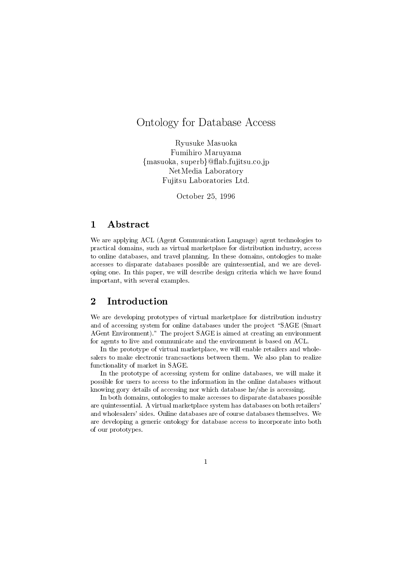# Ontology for Database Access

Ryusuke Masuoka Fumihiro Maruyama {masuoka, superb}@flab.fujitsu.co.jp NetMedia Laboratory Fujitsu Laboratories Ltd.

October 25, 1996

#### $\mathbf{1}$ Abstract

We are applying ACL (Agent Communication Language) agent technologies to practical domains, such as virtual marketplace for distribution industry, access to online databases, and travel planning. In these domains, ontologies to make accesses to disparate databases possible are quintessential, and we are developing one. In this paper, we will describe design criteria which we have found important, with several examples.

We are developing prototypes of virtual marketplace for distribution industry and of accessing system for online databases under the project "SAGE (Smart AGent Environment)." The project SAGE is aimed at creating an environment for agents to live and communicate and the environment is based on ACL.

In the prototype of virtual marketplace, we will enable retailers and wholesalers to make electronic trancsactions between them. We also plan to realize functionality of market in SAGE.

In the prototype of accessing system for online databases, we will make it possible for users to access to the information in the online databases without knowing gory details of accessing nor which database he/she is accessing.

In both domains, ontologies to make accesses to disparate databases possible are quintessential. A virtual marketplace system has databases on both retailers' and wholesalers' sides. Online databases are of course databases themselves. We are developing a generic ontology for database access to incorporate into both of our prototypes.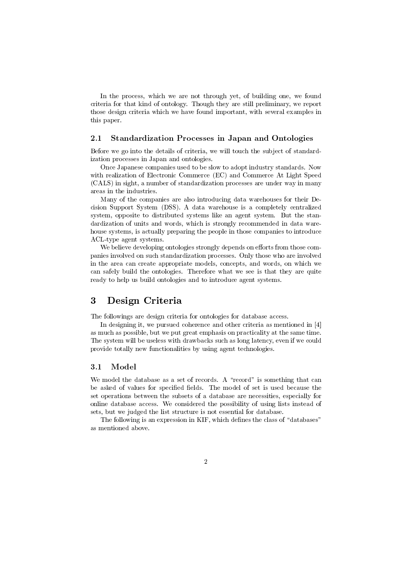In the process, which we are not through yet, of building one, we found criteria for that kind of ontology. Though they are still preliminary, we report those design criteria which we have found important, with several examples in this paper.

### 2.1 Standardization Processes in Japan and Ontologies

Before we go into the details of criteria, we will touch the subject of standardization processes in Japan and ontologies.

Once Japanese companies used to be slow to adopt industry standards. Now with realization of Electronic Commerce (EC) and Commerce At Light Speed (CALS) in sight, a number of standardization processes are under way in many areas in the industries.

Many of the companies are also introducing data warehouses for their Decision Support System (DSS). A data warehouse is a completely centralized system, opposite to distributed systems like an agent system. But the standardization of units and words, which is strongly recommended in data warehouse systems, is actually preparing the people in those companies to introduce ACL-type agent systems.

We believe developing ontologies strongly depends on efforts from those companies involved on such standardization processes. Only those who are involved in the area can create appropriate models, concepts, and words, on which we can safely build the ontologies. Therefore what we see is that they are quite ready to help us build ontologies and to introduce agent systems.

#### 3 Design Criteria

The followings are design criteria for ontologies for database access.

In designing it, we pursued coherence and other criteria as mentioned in [4] as much as possible, but we put great emphasis on practicality at the same time. The system will be useless with drawbacks such as long latency, even if we could provide totally new functionalities by using agent technologies.

#### Model  $3.1$

We model the database as a set of records. A "record" is something that can be asked of values for specified fields. The model of set is used because the set operations between the subsets of a database are necessities, especially for online database access. We considered the possibility of using lists instead of sets, but we judged the list structure is not essential for database.

The following is an expression in KIF, which defines the class of "databases" as mentioned above.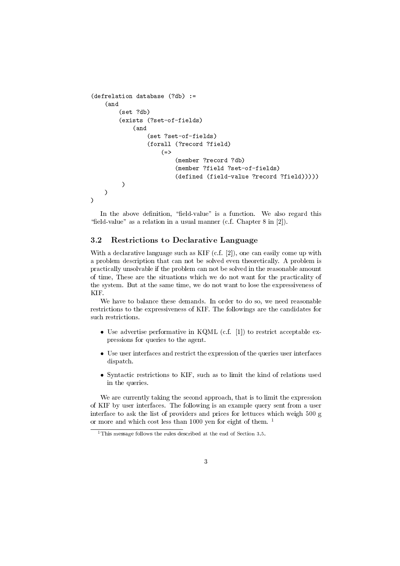```
(defrelation database (?db) :=
          \mathcal{A} and \mathcal{A} and \mathcal{A} and \mathcal{A} and \mathcal{A} and \mathcal{A} and \mathcal{A} and \mathcal{A} and \mathcal{A} and \mathcal{A} and \mathcal{A} and \mathcal{A} and \mathcal{A} and \mathcal{A} and \mathcal{A} and \mathcal{A} and \mathcal{A} and 
                    (set ?db)
                    (exists (?set-of-fields)
                               (and
                                         (set ?set-of-fields)
                                         (forall (?record ?field)
                                                   (=)\sim (b) \sim (b) \sim (b) \sim (b) \sim (b) \sim (b) \sim (b) \sim (b) \sim (b) \sim (c) \sim (c) \sim (c) \sim (c) \sim (c) \sim (c) \sim (c) \sim (c) \sim (c) \sim (c) \sim (c) \sim (c) \sim (c) \sim (c) \sim (c) \sim 
                                                             (member ?record ?db)
                                                             (member ?field ?set-of-fields)
                                                              (member ?field ?set-of-fields)
                                                             (defined (field-value ?record ?field)))))
                       )
          )
)
```
In the above definition, "field-value" is a function. We also regard this "field-value" as a relation in a usual manner (c.f. Chapter  $8$  in [2]).

### 3.2 Restrictions to Declarative Language

With a declarative language such as KIF  $(c.f. [2])$ , one can easily come up with a problem description that can not be solved even theoretically. A problem is practically unsolvable if the problem can not be solved in the reasonable amount of time, These are the situations which we do not want for the practicality of the system. But at the same time, we do not want to lose the expressiveness of KIF.

We have to balance these demands. In order to do so, we need reasonable restrictions to the expressiveness of KIF. The followings are the candidates for

- Use advertise performative in KQML (c.f. [1]) to restrict acceptable expressions for queries to the agent.
- Use user interfaces and restrict the expression of the queries user interfaces dispatch.
- Syntactic restrictions to KIF, such as to limit the kind of relations used in the queries.

We are currently taking the second approach, that is to limit the expression of KIF by user interfaces. The following is an example query sent from a user interface to ask the list of providers and prices for lettuces which weigh 500 g or more and which cost less than 1000 yen for eight of them. <sup>1</sup>

<sup>&</sup>lt;sup>1</sup>This message follows the rules described at the end of Section 3.5.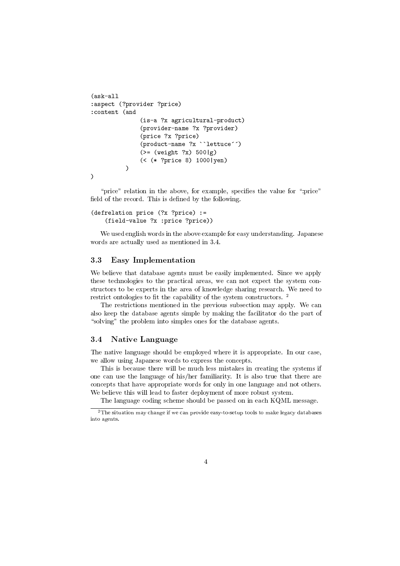```
(ask-all
:aspect (?provider ?price)
:content (and
              (is-a ?x agricultural-product)
              (provider-name ?x ?provider)
              (price ?x ?price)
              (product-name ?x ``lettuce'')
              (\geq) (weight ?x) 500 |g)
              (< (* ?price 8) 1000|yen)
          \lambda)
\lambda)
```
" $\text{price}$ " relation in the above, for example, specifies the value for ":price" field of the record. This is defined by the following.

```
(defrelation price (?x ?price) :=
    (field-value ?x :price ?price))
```
We used english words in the above example for easy understanding. Japanese words are actually used as mentioned in 3.4.

### 3.3 Easy Implementation

We believe that database agents must be easily implemented. Since we apply these technologies to the practical areas, we can not expect the system constructors to be experts in the area of knowledge sharing research. We need to restrict ontologies to fit the capability of the system constructors.  $^{\rm 2}$ 

The restrictions mentioned in the previous subsection may apply. We can also keep the database agents simple by making the facilitator do the part of " $solving$ " the problem into simples ones for the database agents.

#### Native Language 3.4

The native language should be employed where it is appropriate. In our case, we allow using Japanese words to express the concepts.

This is because there will be much less mistakes in creating the systems if one can use the language of his/her familiarity. It is also true that there are concepts that have appropriate words for only in one language and not others. We believe this will lead to faster deployment of more robust system.

The language coding scheme should be passed on in each KQML message.

 $2$ The situation may change if we can provide easy-to-setup tools to make legacy databases into agents.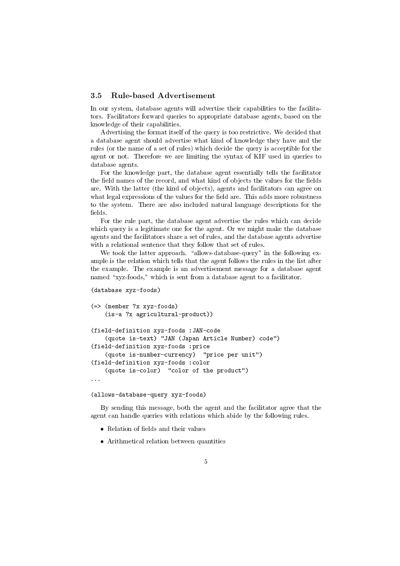### 3.5 Rule-based Advertisement

In our system, database agents will advertise their capabilities to the facilitators. Facilitators forward queries to appropriate database agents, based on the knowledge of their capabilities.

Advertising the format itself of the query is too restrictive. We decided that a database agent should advertise what kind of knowledge they have and the rules (or the name of a set of rules) which decide the query is acceptible for the agent or not. Therefore we are limiting the syntax of KIF used in queries to database agents.

For the knowledge part, the database agent essentially tells the facilitator the field names of the record, and what kind of objects the values for the fields are. With the latter (the kind of ob jects), agents and facilitators can agree on what legal expressions of the values for the field are. This adds more robustness to the system. There are also included natural language descriptions for the fields

For the rule part, the database agent advertise the rules which can decide which query is a legitimate one for the agent. Or we might make the database agents and the facilitators share a set of rules, and the database agents advertise with a relational sentence that they follow that set of rules.

We took the latter approach. "allows-database-query" in the following example is the relation which tells that the agent follows the rules in the list after the example. The example is an advertisement message for a database agent named "xyz-foods," which is sent from a database agent to a facilitator.

```
(database xyz-foods)
(=> (member ?x xyz-foods)
    (is-a ?x agricultural-product))
(field-definition xyz-foods :JAN-code
    (quote is-text) "JAN (Japan Article Number) code")
(field-definition xyz-foods :price
    (quote is-number-currency) "price per unit")
(field-definition xyz-foods :color
    (quote is-color) "color of the product")
```

```
(allows-database-query xyz-foods)
```
By sending this message, both the agent and the facilitator agree that the agent can handle queries with relations which abide by the following rules.

- 
- Arithmetical relation between quantities